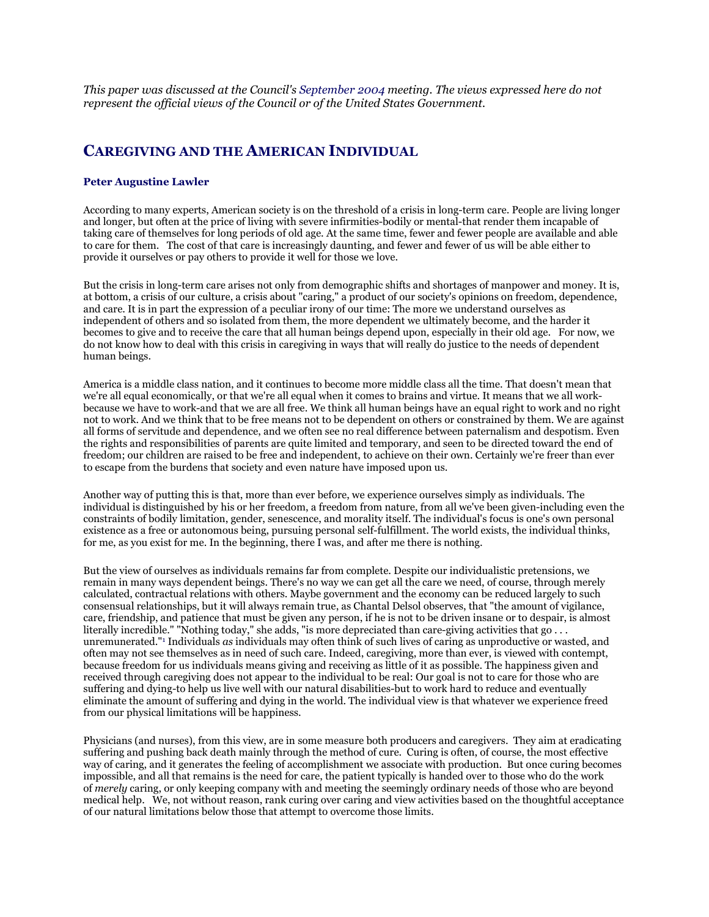*This paper was discussed at the Council's [September 2004](https://bioethicsarchive.georgetown.edu/pcbe/transcripts/sep04/index.html) meeting. The views expressed here do not represent the official views of the Council or of the United States Government.*

## **CAREGIVING AND THE AMERICAN INDIVIDUAL**

## **Peter Augustine Lawler**

According to many experts, American society is on the threshold of a crisis in long-term care. People are living longer and longer, but often at the price of living with severe infirmities-bodily or mental-that render them incapable of taking care of themselves for long periods of old age. At the same time, fewer and fewer people are available and able to care for them. The cost of that care is increasingly daunting, and fewer and fewer of us will be able either to provide it ourselves or pay others to provide it well for those we love.

But the crisis in long-term care arises not only from demographic shifts and shortages of manpower and money. It is, at bottom, a crisis of our culture, a crisis about "caring," a product of our society's opinions on freedom, dependence, and care. It is in part the expression of a peculiar irony of our time: The more we understand ourselves as independent of others and so isolated from them, the more dependent we ultimately become, and the harder it becomes to give and to receive the care that all human beings depend upon, especially in their old age. For now, we do not know how to deal with this crisis in caregiving in ways that will really do justice to the needs of dependent human beings.

America is a middle class nation, and it continues to become more middle class all the time. That doesn't mean that we're all equal economically, or that we're all equal when it comes to brains and virtue. It means that we all workbecause we have to work-and that we are all free. We think all human beings have an equal right to work and no right not to work. And we think that to be free means not to be dependent on others or constrained by them. We are against all forms of servitude and dependence, and we often see no real difference between paternalism and despotism. Even the rights and responsibilities of parents are quite limited and temporary, and seen to be directed toward the end of freedom; our children are raised to be free and independent, to achieve on their own. Certainly we're freer than ever to escape from the burdens that society and even nature have imposed upon us.

Another way of putting this is that, more than ever before, we experience ourselves simply as individuals. The individual is distinguished by his or her freedom, a freedom from nature, from all we've been given-including even the constraints of bodily limitation, gender, senescence, and morality itself. The individual's focus is one's own personal existence as a free or autonomous being, pursuing personal self-fulfillment. The world exists, the individual thinks, for me, as you exist for me. In the beginning, there I was, and after me there is nothing.

But the view of ourselves as individuals remains far from complete. Despite our individualistic pretensions, we remain in many ways dependent beings. There's no way we can get all the care we need, of course, through merely calculated, contractual relations with others. Maybe government and the economy can be reduced largely to such consensual relationships, but it will always remain true, as Chantal Delsol observes, that "the amount of vigilance, care, friendship, and patience that must be given any person, if he is not to be driven insane or to despair, is almost literally incredible." "Nothing today," she adds, "is more depreciated than care-giving activities that go ... unremunerated.["1](https://bioethicsarchive.georgetown.edu/pcbe/background/lawler_paper.html#edn1) Individuals *as* individuals may often think of such lives of caring as unproductive or wasted, and often may not see themselves as in need of such care. Indeed, caregiving, more than ever, is viewed with contempt, because freedom for us individuals means giving and receiving as little of it as possible. The happiness given and received through caregiving does not appear to the individual to be real: Our goal is not to care for those who are suffering and dying-to help us live well with our natural disabilities-but to work hard to reduce and eventually eliminate the amount of suffering and dying in the world. The individual view is that whatever we experience freed from our physical limitations will be happiness.

Physicians (and nurses), from this view, are in some measure both producers and caregivers. They aim at eradicating suffering and pushing back death mainly through the method of cure. Curing is often, of course, the most effective way of caring, and it generates the feeling of accomplishment we associate with production. But once curing becomes impossible, and all that remains is the need for care, the patient typically is handed over to those who do the work of *merely* caring, or only keeping company with and meeting the seemingly ordinary needs of those who are beyond medical help. We, not without reason, rank curing over caring and view activities based on the thoughtful acceptance of our natural limitations below those that attempt to overcome those limits.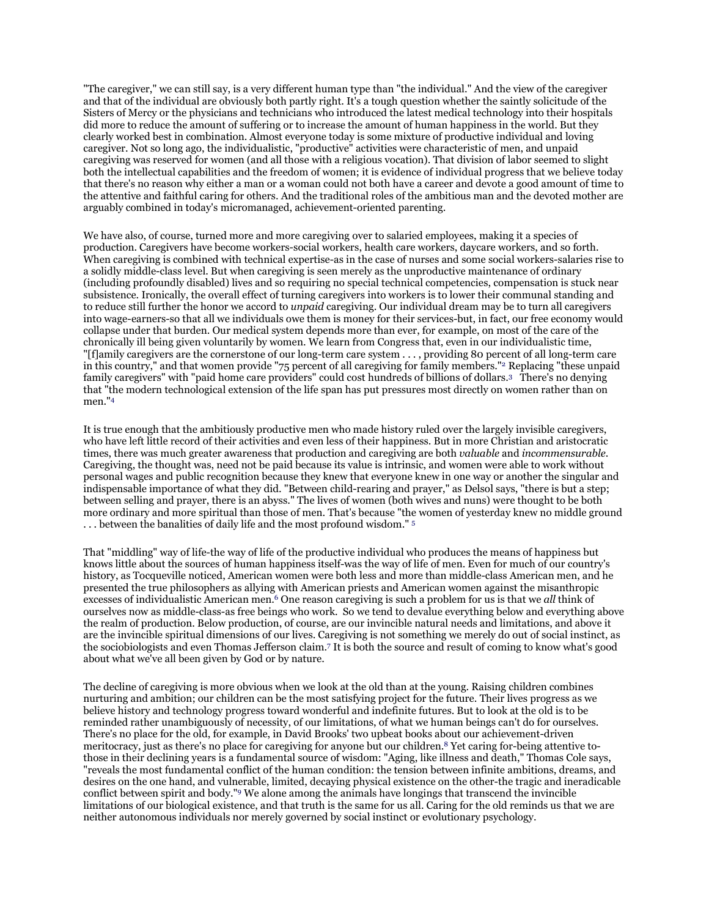"The caregiver," we can still say, is a very different human type than "the individual." And the view of the caregiver and that of the individual are obviously both partly right. It's a tough question whether the saintly solicitude of the Sisters of Mercy or the physicians and technicians who introduced the latest medical technology into their hospitals did more to reduce the amount of suffering or to increase the amount of human happiness in the world. But they clearly worked best in combination. Almost everyone today is some mixture of productive individual and loving caregiver. Not so long ago, the individualistic, "productive" activities were characteristic of men, and unpaid caregiving was reserved for women (and all those with a religious vocation). That division of labor seemed to slight both the intellectual capabilities and the freedom of women; it is evidence of individual progress that we believe today that there's no reason why either a man or a woman could not both have a career and devote a good amount of time to the attentive and faithful caring for others. And the traditional roles of the ambitious man and the devoted mother are arguably combined in today's micromanaged, achievement-oriented parenting.

We have also, of course, turned more and more caregiving over to salaried employees, making it a species of production. Caregivers have become workers-social workers, health care workers, daycare workers, and so forth. When caregiving is combined with technical expertise-as in the case of nurses and some social workers-salaries rise to a solidly middle-class level. But when caregiving is seen merely as the unproductive maintenance of ordinary (including profoundly disabled) lives and so requiring no special technical competencies, compensation is stuck near subsistence. Ironically, the overall effect of turning caregivers into workers is to lower their communal standing and to reduce still further the honor we accord to *unpaid* caregiving. Our individual dream may be to turn all caregivers into wage-earners-so that all we individuals owe them is money for their services-but, in fact, our free economy would collapse under that burden. Our medical system depends more than ever, for example, on most of the care of the chronically ill being given voluntarily by women. We learn from Congress that, even in our individualistic time, "[f]amily caregivers are the cornerstone of our long-term care system . . . , providing 80 percent of all long-term care in this country," and that women provide "75 percent of all caregiving for family members.["2](https://bioethicsarchive.georgetown.edu/pcbe/background/lawler_paper.html#edn2) Replacing "these unpaid family caregivers" with "paid home care providers" could cost hundreds of billions of dollars[.3](https://bioethicsarchive.georgetown.edu/pcbe/background/lawler_paper.html#edn3) There's no denying that "the modern technological extension of the life span has put pressures most directly on women rather than on men.["4](https://bioethicsarchive.georgetown.edu/pcbe/background/lawler_paper.html#edn4)

It is true enough that the ambitiously productive men who made history ruled over the largely invisible caregivers, who have left little record of their activities and even less of their happiness. But in more Christian and aristocratic times, there was much greater awareness that production and caregiving are both *valuable* and *incommensurable*. Caregiving, the thought was, need not be paid because its value is intrinsic, and women were able to work without personal wages and public recognition because they knew that everyone knew in one way or another the singular and indispensable importance of what they did. "Between child-rearing and prayer," as Delsol says, "there is but a step; between selling and prayer, there is an abyss." The lives of women (both wives and nuns) were thought to be both more ordinary and more spiritual than those of men. That's because "the women of yesterday knew no middle ground . . . between the banalities of daily life and the most profound wisdom." [5](https://bioethicsarchive.georgetown.edu/pcbe/background/lawler_paper.html#edn5)

That "middling" way of life-the way of life of the productive individual who produces the means of happiness but knows little about the sources of human happiness itself-was the way of life of men. Even for much of our country's history, as Tocqueville noticed, American women were both less and more than middle-class American men, and he presented the true philosophers as allying with American priests and American women against the misanthropic excesses of individualistic American men[.6](https://bioethicsarchive.georgetown.edu/pcbe/background/lawler_paper.html#edn6) One reason caregiving is such a problem for us is that we *all* think of ourselves now as middle-class-as free beings who work. So we tend to devalue everything below and everything above the realm of production. Below production, of course, are our invincible natural needs and limitations, and above it are the invincible spiritual dimensions of our lives. Caregiving is not something we merely do out of social instinct, as the sociobiologists and even Thomas Jefferson claim[.7](https://bioethicsarchive.georgetown.edu/pcbe/background/lawler_paper.html#edn7) It is both the source and result of coming to know what's good about what we've all been given by God or by nature.

The decline of caregiving is more obvious when we look at the old than at the young. Raising children combines nurturing and ambition; our children can be the most satisfying project for the future. Their lives progress as we believe history and technology progress toward wonderful and indefinite futures. But to look at the old is to be reminded rather unambiguously of necessity, of our limitations, of what we human beings can't do for ourselves. There's no place for the old, for example, in David Brooks' two upbeat books about our achievement-driven meritocracy, just as there's no place for caregiving for anyone but our children.<sup>8</sup> Yet caring for-being attentive tothose in their declining years is a fundamental source of wisdom: "Aging, like illness and death," Thomas Cole says, "reveals the most fundamental conflict of the human condition: the tension between infinite ambitions, dreams, and desires on the one hand, and vulnerable, limited, decaying physical existence on the other-the tragic and ineradicable conflict between spirit and body.["9](https://bioethicsarchive.georgetown.edu/pcbe/background/lawler_paper.html#edn9) We alone among the animals have longings that transcend the invincible limitations of our biological existence, and that truth is the same for us all. Caring for the old reminds us that we are neither autonomous individuals nor merely governed by social instinct or evolutionary psychology.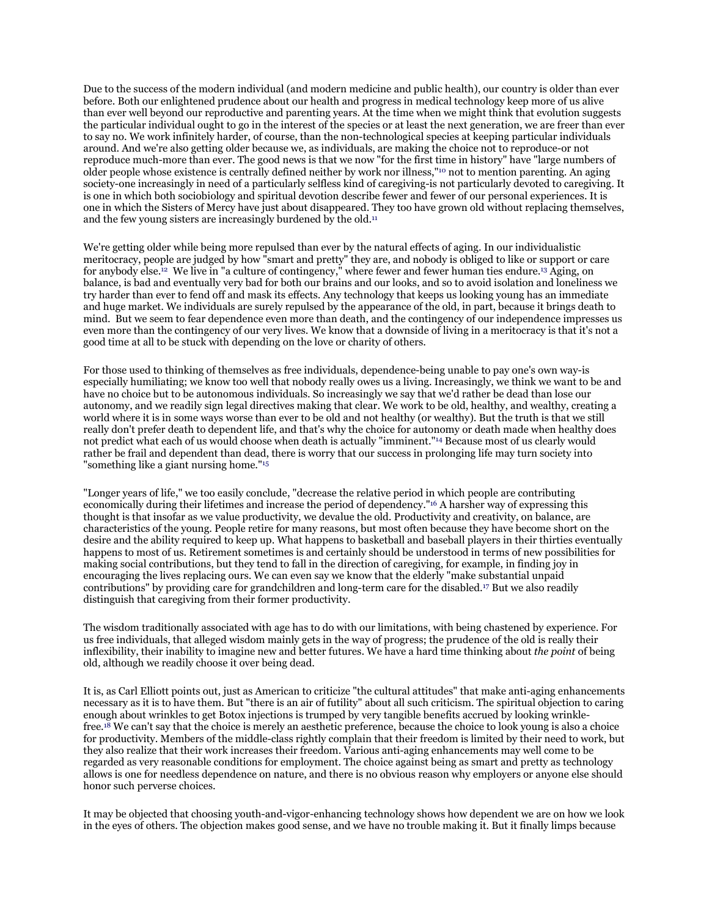Due to the success of the modern individual (and modern medicine and public health), our country is older than ever before. Both our enlightened prudence about our health and progress in medical technology keep more of us alive than ever well beyond our reproductive and parenting years. At the time when we might think that evolution suggests the particular individual ought to go in the interest of the species or at least the next generation, we are freer than ever to say no. We work infinitely harder, of course, than the non-technological species at keeping particular individuals around. And we're also getting older because we, as individuals, are making the choice not to reproduce-or not reproduce much-more than ever. The good news is that we now "for the first time in history" have "large numbers of older people whose existence is centrally defined neither by work nor illness,["10](https://bioethicsarchive.georgetown.edu/pcbe/background/lawler_paper.html#edn10) not to mention parenting. An aging society-one increasingly in need of a particularly selfless kind of caregiving-is not particularly devoted to caregiving. It is one in which both sociobiology and spiritual devotion describe fewer and fewer of our personal experiences. It is one in which the Sisters of Mercy have just about disappeared. They too have grown old without replacing themselves, and the few young sisters are increasingly burdened by the old[.11](https://bioethicsarchive.georgetown.edu/pcbe/background/lawler_paper.html#edn11)

We're getting older while being more repulsed than ever by the natural effects of aging. In our individualistic meritocracy, people are judged by how "smart and pretty" they are, and nobody is obliged to like or support or care for anybody else[.12](https://bioethicsarchive.georgetown.edu/pcbe/background/lawler_paper.html#edn12) We live in "a culture of contingency," where fewer and fewer human ties endure[.13](https://bioethicsarchive.georgetown.edu/pcbe/background/lawler_paper.html#edn13) Aging, on balance, is bad and eventually very bad for both our brains and our looks, and so to avoid isolation and loneliness we try harder than ever to fend off and mask its effects. Any technology that keeps us looking young has an immediate and huge market. We individuals are surely repulsed by the appearance of the old, in part, because it brings death to mind. But we seem to fear dependence even more than death, and the contingency of our independence impresses us even more than the contingency of our very lives. We know that a downside of living in a meritocracy is that it's not a good time at all to be stuck with depending on the love or charity of others.

For those used to thinking of themselves as free individuals, dependence-being unable to pay one's own way-is especially humiliating; we know too well that nobody really owes us a living. Increasingly, we think we want to be and have no choice but to be autonomous individuals. So increasingly we say that we'd rather be dead than lose our autonomy, and we readily sign legal directives making that clear. We work to be old, healthy, and wealthy, creating a world where it is in some ways worse than ever to be old and not healthy (or wealthy). But the truth is that we still really don't prefer death to dependent life, and that's why the choice for autonomy or death made when healthy does not predict what each of us would choose when death is actually "imminent.["14](https://bioethicsarchive.georgetown.edu/pcbe/background/lawler_paper.html#edn14) Because most of us clearly would rather be frail and dependent than dead, there is worry that our success in prolonging life may turn society into "something like a giant nursing home.["15](https://bioethicsarchive.georgetown.edu/pcbe/background/lawler_paper.html#edn15)

"Longer years of life," we too easily conclude, "decrease the relative period in which people are contributing economically during their lifetimes and increase the period of dependency.["16](https://bioethicsarchive.georgetown.edu/pcbe/background/lawler_paper.html#edn16) A harsher way of expressing this thought is that insofar as we value productivity, we devalue the old. Productivity and creativity, on balance, are characteristics of the young. People retire for many reasons, but most often because they have become short on the desire and the ability required to keep up. What happens to basketball and baseball players in their thirties eventually happens to most of us. Retirement sometimes is and certainly should be understood in terms of new possibilities for making social contributions, but they tend to fall in the direction of caregiving, for example, in finding joy in encouraging the lives replacing ours. We can even say we know that the elderly "make substantial unpaid contributions" by providing care for grandchildren and long-term care for the disabled[.17](https://bioethicsarchive.georgetown.edu/pcbe/background/lawler_paper.html#edn17) But we also readily distinguish that caregiving from their former productivity.

The wisdom traditionally associated with age has to do with our limitations, with being chastened by experience. For us free individuals, that alleged wisdom mainly gets in the way of progress; the prudence of the old is really their inflexibility, their inability to imagine new and better futures. We have a hard time thinking about *the point* of being old, although we readily choose it over being dead.

It is, as Carl Elliott points out, just as American to criticize "the cultural attitudes" that make anti-aging enhancements necessary as it is to have them. But "there is an air of futility" about all such criticism. The spiritual objection to caring enough about wrinkles to get Botox injections is trumped by very tangible benefits accrued by looking wrinklefre[e.18](https://bioethicsarchive.georgetown.edu/pcbe/background/lawler_paper.html#edn18) We can't say that the choice is merely an aesthetic preference, because the choice to look young is also a choice for productivity. Members of the middle-class rightly complain that their freedom is limited by their need to work, but they also realize that their work increases their freedom. Various anti-aging enhancements may well come to be regarded as very reasonable conditions for employment. The choice against being as smart and pretty as technology allows is one for needless dependence on nature, and there is no obvious reason why employers or anyone else should honor such perverse choices.

It may be objected that choosing youth-and-vigor-enhancing technology shows how dependent we are on how we look in the eyes of others. The objection makes good sense, and we have no trouble making it. But it finally limps because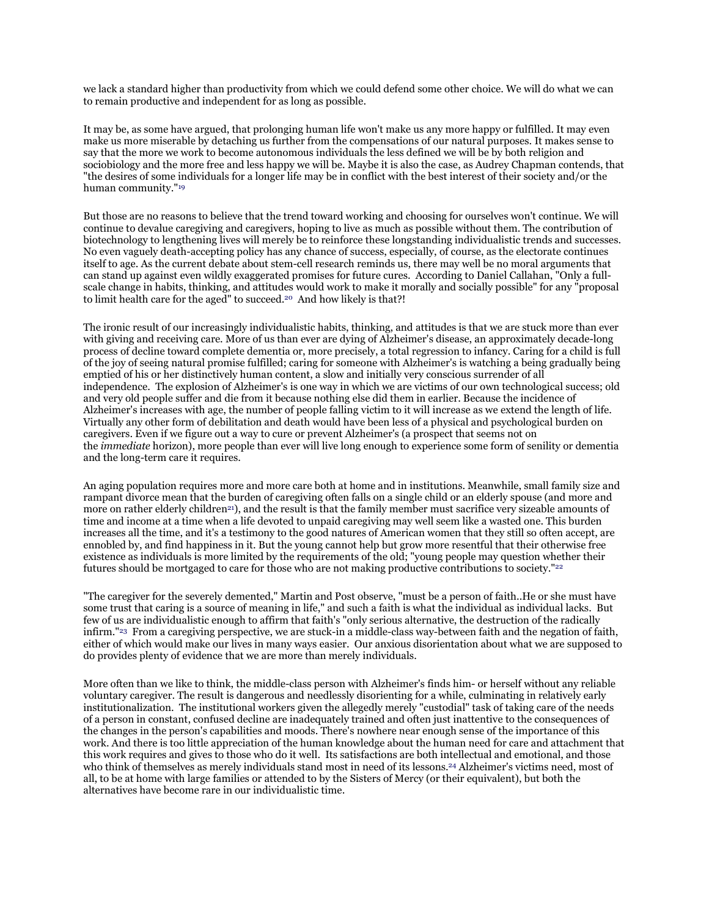we lack a standard higher than productivity from which we could defend some other choice. We will do what we can to remain productive and independent for as long as possible.

It may be, as some have argued, that prolonging human life won't make us any more happy or fulfilled. It may even make us more miserable by detaching us further from the compensations of our natural purposes. It makes sense to say that the more we work to become autonomous individuals the less defined we will be by both religion and sociobiology and the more free and less happy we will be. Maybe it is also the case, as Audrey Chapman contends, that "the desires of some individuals for a longer life may be in conflict with the best interest of their society and/or the human community.["19](https://bioethicsarchive.georgetown.edu/pcbe/background/lawler_paper.html#edn19)

But those are no reasons to believe that the trend toward working and choosing for ourselves won't continue. We will continue to devalue caregiving and caregivers, hoping to live as much as possible without them. The contribution of biotechnology to lengthening lives will merely be to reinforce these longstanding individualistic trends and successes. No even vaguely death-accepting policy has any chance of success, especially, of course, as the electorate continues itself to age. As the current debate about stem-cell research reminds us, there may well be no moral arguments that can stand up against even wildly exaggerated promises for future cures. According to Daniel Callahan, "Only a fullscale change in habits, thinking, and attitudes would work to make it morally and socially possible" for any "proposal to limit health care for the aged" to succeed.<sup>20</sup> And how likely is that?!

The ironic result of our increasingly individualistic habits, thinking, and attitudes is that we are stuck more than ever with giving and receiving care. More of us than ever are dying of Alzheimer's disease, an approximately decade-long process of decline toward complete dementia or, more precisely, a total regression to infancy. Caring for a child is full of the joy of seeing natural promise fulfilled; caring for someone with Alzheimer's is watching a being gradually being emptied of his or her distinctively human content, a slow and initially very conscious surrender of all independence. The explosion of Alzheimer's is one way in which we are victims of our own technological success; old and very old people suffer and die from it because nothing else did them in earlier. Because the incidence of Alzheimer's increases with age, the number of people falling victim to it will increase as we extend the length of life. Virtually any other form of debilitation and death would have been less of a physical and psychological burden on caregivers. Even if we figure out a way to cure or prevent Alzheimer's (a prospect that seems not on the *immediate* horizon), more people than ever will live long enough to experience some form of senility or dementia and the long-term care it requires.

An aging population requires more and more care both at home and in institutions. Meanwhile, small family size and rampant divorce mean that the burden of caregiving often falls on a single child or an elderly spouse (and more and more on rather elderly children<sup>21</sup>), and the result is that the family member must sacrifice very sizeable amounts of time and income at a time when a life devoted to unpaid caregiving may well seem like a wasted one. This burden increases all the time, and it's a testimony to the good natures of American women that they still so often accept, are ennobled by, and find happiness in it. But the young cannot help but grow more resentful that their otherwise free existence as individuals is more limited by the requirements of the old; "young people may question whether their futures should be mortgaged to care for those who are not making productive contributions to society.["22](https://bioethicsarchive.georgetown.edu/pcbe/background/lawler_paper.html#edn22) 

"The caregiver for the severely demented," Martin and Post observe, "must be a person of faith..He or she must have some trust that caring is a source of meaning in life," and such a faith is what the individual as individual lacks. But few of us are individualistic enough to affirm that faith's "only serious alternative, the destruction of the radically infirm.["23](https://bioethicsarchive.georgetown.edu/pcbe/background/lawler_paper.html#edn23) From a caregiving perspective, we are stuck-in a middle-class way-between faith and the negation of faith, either of which would make our lives in many ways easier. Our anxious disorientation about what we are supposed to do provides plenty of evidence that we are more than merely individuals.

More often than we like to think, the middle-class person with Alzheimer's finds him- or herself without any reliable voluntary caregiver. The result is dangerous and needlessly disorienting for a while, culminating in relatively early institutionalization. The institutional workers given the allegedly merely "custodial" task of taking care of the needs of a person in constant, confused decline are inadequately trained and often just inattentive to the consequences of the changes in the person's capabilities and moods. There's nowhere near enough sense of the importance of this work. And there is too little appreciation of the human knowledge about the human need for care and attachment that this work requires and gives to those who do it well. Its satisfactions are both intellectual and emotional, and those who think of themselves as merely individuals stand most in need of its lesson[s.24](https://bioethicsarchive.georgetown.edu/pcbe/background/lawler_paper.html#edn24) Alzheimer's victims need, most of all, to be at home with large families or attended to by the Sisters of Mercy (or their equivalent), but both the alternatives have become rare in our individualistic time.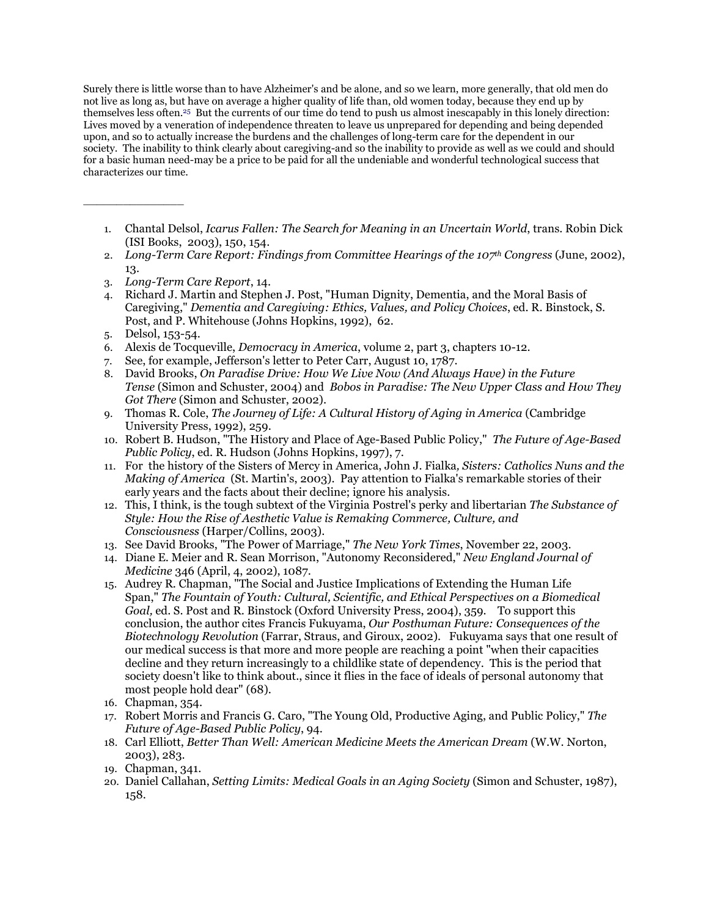Surely there is little worse than to have Alzheimer's and be alone, and so we learn, more generally, that old men do not live as long as, but have on average a higher quality of life than, old women today, because they end up by themselves less often[.25](https://bioethicsarchive.georgetown.edu/pcbe/background/lawler_paper.html#edn25) But the currents of our time do tend to push us almost inescapably in this lonely direction: Lives moved by a veneration of independence threaten to leave us unprepared for depending and being depended upon, and so to actually increase the burdens and the challenges of long-term care for the dependent in our society. The inability to think clearly about caregiving-and so the inability to provide as well as we could and should for a basic human need-may be a price to be paid for all the undeniable and wonderful technological success that characterizes our time.

- 1. Chantal Delsol, *Icarus Fallen: The Search for Meaning in an Uncertain World*, trans. Robin Dick (ISI Books, 2003), 150, 154.
- 2. *Long-Term Care Report: Findings from Committee Hearings of the 107th Congress* (June, 2002), 13.
- 3. *Long-Term Care Report*, 14.
- 4. Richard J. Martin and Stephen J. Post, "Human Dignity, Dementia, and the Moral Basis of Caregiving," *Dementia and Caregiving: Ethics, Values, and Policy Choices*, ed. R. Binstock, S. Post, and P. Whitehouse (Johns Hopkins, 1992), 62.
- 5. Delsol, 153-54.

\_\_\_\_\_\_\_\_\_\_\_\_\_\_\_

- 6. Alexis de Tocqueville, *Democracy in America*, volume 2, part 3, chapters 10-12.
- 7. See, for example, Jefferson's letter to Peter Carr, August 10, 1787.
- 8. David Brooks, *On Paradise Drive: How We Live Now (And Always Have) in the Future Tense* (Simon and Schuster, 2004) and *Bobos in Paradise: The New Upper Class and How They Got There* (Simon and Schuster, 2002).
- 9. Thomas R. Cole, *The Journey of Life: A Cultural History of Aging in America* (Cambridge University Press, 1992), 259.
- 10. Robert B. Hudson, "The History and Place of Age-Based Public Policy," *The Future of Age-Based Public Policy*, ed. R. Hudson (Johns Hopkins, 1997), 7.
- 11. For the history of the Sisters of Mercy in America, John J. Fialka*, Sisters: Catholics Nuns and the Making of America* (St. Martin's, 2003). Pay attention to Fialka's remarkable stories of their early years and the facts about their decline; ignore his analysis.
- 12. This, I think, is the tough subtext of the Virginia Postrel's perky and libertarian *The Substance of Style: How the Rise of Aesthetic Value is Remaking Commerce, Culture, and Consciousness* (Harper/Collins, 2003).
- 13. See David Brooks, "The Power of Marriage," *The New York Times*, November 22, 2003.
- 14. Diane E. Meier and R. Sean Morrison, "Autonomy Reconsidered," *New England Journal of Medicine* 346 (April, 4, 2002), 1087.
- 15. Audrey R. Chapman, "The Social and Justice Implications of Extending the Human Life Span," *The Fountain of Youth: Cultural, Scientific, and Ethical Perspectives on a Biomedical Goal,* ed. S. Post and R. Binstock (Oxford University Press, 2004), 359. To support this conclusion, the author cites Francis Fukuyama, *Our Posthuman Future: Consequences of the Biotechnology Revolution* (Farrar, Straus, and Giroux, 2002). Fukuyama says that one result of our medical success is that more and more people are reaching a point "when their capacities decline and they return increasingly to a childlike state of dependency. This is the period that society doesn't like to think about., since it flies in the face of ideals of personal autonomy that most people hold dear" (68).
- 16. Chapman, 354.
- 17. Robert Morris and Francis G. Caro, "The Young Old, Productive Aging, and Public Policy," *The Future of Age-Based Public Policy*, 94.
- 18. Carl Elliott, *Better Than Well: American Medicine Meets the American Dream* (W.W. Norton, 2003), 283.
- 19. Chapman, 341.
- 20. Daniel Callahan, *Setting Limits: Medical Goals in an Aging Society* (Simon and Schuster, 1987), 158.